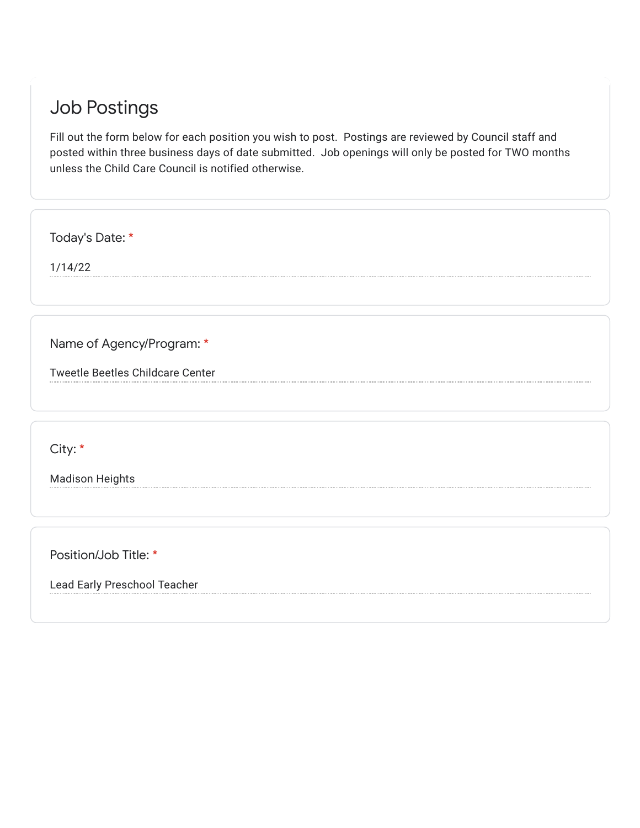## Job Postings

Fill out the form below for each position you wish to post. Postings are reviewed by Council staff and posted within three business days of date submitted. Job openings will only be posted for TWO months unless the Child Care Council is notified otherwise.

Today's Date: \*

1/14/22

Name of Agency/Program: \*

Tweetle Beetles Childcare Center

City: \*

Madison Heights

Position/Job Title: \*

Lead Early Preschool Teacher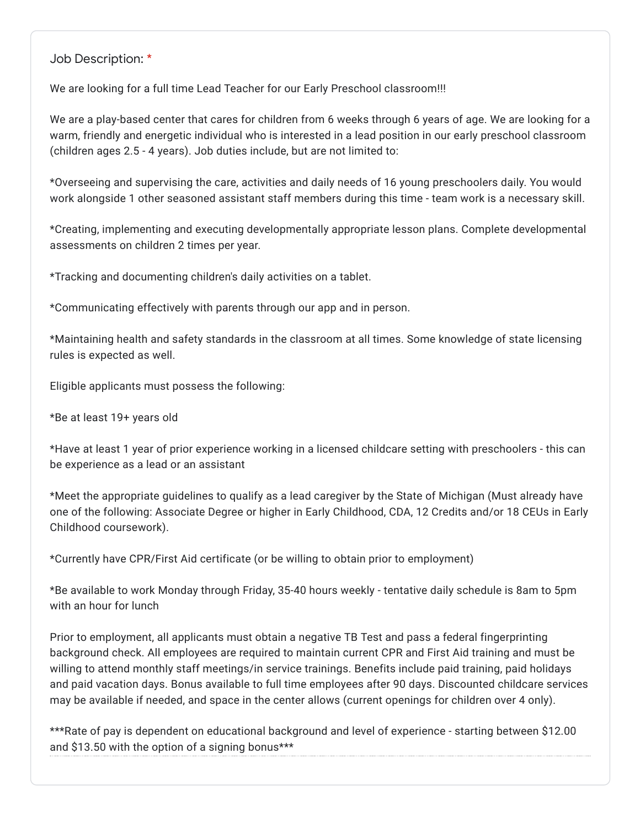Job Description: \*

We are looking for a full time Lead Teacher for our Early Preschool classroom!!!

We are a play-based center that cares for children from 6 weeks through 6 years of age. We are looking for a warm, friendly and energetic individual who is interested in a lead position in our early preschool classroom (children ages 2.5 - 4 years). Job duties include, but are not limited to:

\*Overseeing and supervising the care, activities and daily needs of 16 young preschoolers daily. You would work alongside 1 other seasoned assistant staff members during this time - team work is a necessary skill.

\*Creating, implementing and executing developmentally appropriate lesson plans. Complete developmental assessments on children 2 times per year.

\*Tracking and documenting children's daily activities on a tablet.

\*Communicating effectively with parents through our app and in person.

\*Maintaining health and safety standards in the classroom at all times. Some knowledge of state licensing rules is expected as well.

Eligible applicants must possess the following:

\*Be at least 19+ years old

\*Have at least 1 year of prior experience working in a licensed childcare setting with preschoolers - this can be experience as a lead or an assistant

\*Meet the appropriate guidelines to qualify as a lead caregiver by the State of Michigan (Must already have one of the following: Associate Degree or higher in Early Childhood, CDA, 12 Credits and/or 18 CEUs in Early Childhood coursework).

\*Currently have CPR/First Aid certificate (or be willing to obtain prior to employment)

\*Be available to work Monday through Friday, 35-40 hours weekly - tentative daily schedule is 8am to 5pm with an hour for lunch

Prior to employment, all applicants must obtain a negative TB Test and pass a federal fingerprinting background check. All employees are required to maintain current CPR and First Aid training and must be willing to attend monthly staff meetings/in service trainings. Benefits include paid training, paid holidays and paid vacation days. Bonus available to full time employees after 90 days. Discounted childcare services may be available if needed, and space in the center allows (current openings for children over 4 only).

\*\*\*Rate of pay is dependent on educational background and level of experience - starting between \$12.00 and \$13.50 with the option of a signing bonus\*\*\*